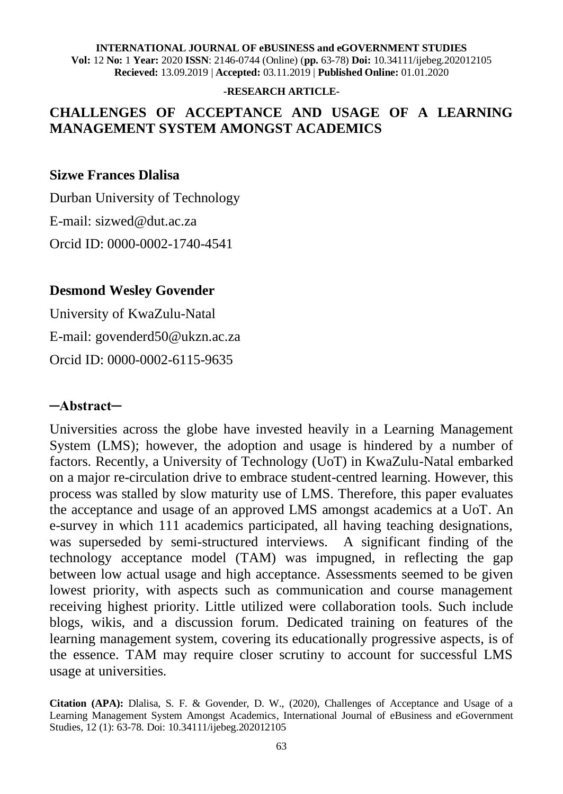**Vol:** 12 **No:** 1 **Year:** 2020 **ISSN**: 2146-0744 (Online) (**pp.** 63-78) **Doi:** 10.34111/ijebeg.202012105 **Recieved:** 13.09.2019 | **Accepted:** 03.11.2019 | **Published Online:** 01.01.2020

#### **-RESEARCH ARTICLE-**

#### **CHALLENGES OF ACCEPTANCE AND USAGE OF A LEARNING MANAGEMENT SYSTEM AMONGST ACADEMICS**

#### **Sizwe Frances Dlalisa**

Durban University of Technology E-mail: sizwed@dut.ac.za Orcid ID: 0000-0002-1740-4541

#### **Desmond Wesley Govender**

University of KwaZulu-Natal E-mail: govenderd50@ukzn.ac.za Orcid ID: 0000-0002-6115-9635

#### **─Abstract─**

Universities across the globe have invested heavily in a Learning Management System (LMS); however, the adoption and usage is hindered by a number of factors. Recently, a University of Technology (UoT) in KwaZulu-Natal embarked on a major re-circulation drive to embrace student-centred learning. However, this process was stalled by slow maturity use of LMS. Therefore, this paper evaluates the acceptance and usage of an approved LMS amongst academics at a UoT. An e-survey in which 111 academics participated, all having teaching designations, was superseded by semi-structured interviews. A significant finding of the technology acceptance model (TAM) was impugned, in reflecting the gap between low actual usage and high acceptance. Assessments seemed to be given lowest priority, with aspects such as communication and course management receiving highest priority. Little utilized were collaboration tools. Such include blogs, wikis, and a discussion forum. Dedicated training on features of the learning management system, covering its educationally progressive aspects, is of the essence. TAM may require closer scrutiny to account for successful LMS usage at universities.

**Citation (APA):** Dlalisa, S. F. & Govender, D. W., (2020), Challenges of Acceptance and Usage of a Learning Management System Amongst Academics, International Journal of eBusiness and eGovernment Studies, 12 (1): 63-78. Doi: 10.34111/ijebeg.202012105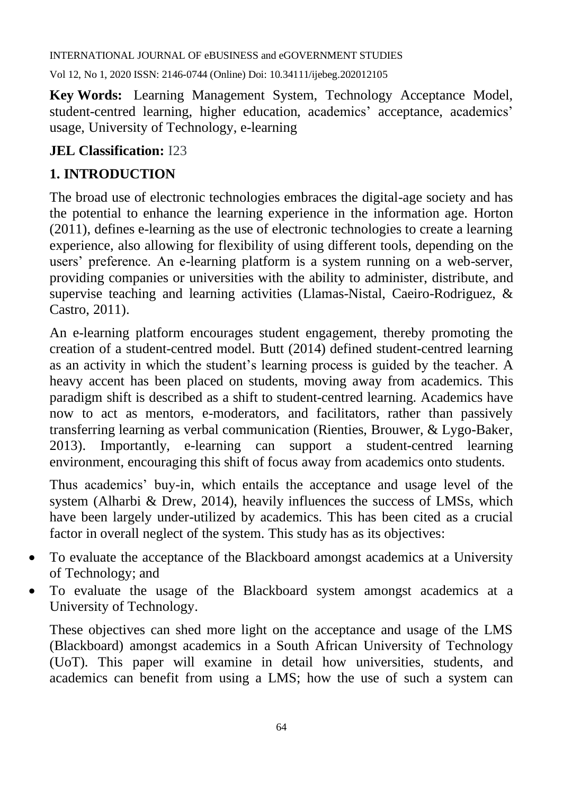Vol 12, No 1, 2020 ISSN: 2146-0744 (Online) Doi: 10.34111/ijebeg.202012105

**Key Words:** Learning Management System, Technology Acceptance Model, student-centred learning, higher education, academics' acceptance, academics' usage, University of Technology, e-learning

#### **JEL Classification:** I23

## **1. INTRODUCTION**

The broad use of electronic technologies embraces the digital-age society and has the potential to enhance the learning experience in the information age. Horton (2011), defines e-learning as the use of electronic technologies to create a learning experience, also allowing for flexibility of using different tools, depending on the users' preference. An e-learning platform is a system running on a web-server, providing companies or universities with the ability to administer, distribute, and supervise teaching and learning activities (Llamas-Nistal, Caeiro-Rodriguez, & Castro, 2011).

An e-learning platform encourages student engagement, thereby promoting the creation of a student-centred model. Butt (2014) defined student-centred learning as an activity in which the student's learning process is guided by the teacher. A heavy accent has been placed on students, moving away from academics. This paradigm shift is described as a shift to student-centred learning. Academics have now to act as mentors, e-moderators, and facilitators, rather than passively transferring learning as verbal communication (Rienties, Brouwer, & Lygo-Baker, 2013). Importantly, e-learning can support a student-centred learning environment, encouraging this shift of focus away from academics onto students.

Thus academics' buy-in, which entails the acceptance and usage level of the system (Alharbi & Drew, 2014), heavily influences the success of LMSs, which have been largely under-utilized by academics. This has been cited as a crucial factor in overall neglect of the system. This study has as its objectives:

- To evaluate the acceptance of the Blackboard amongst academics at a University of Technology; and
- To evaluate the usage of the Blackboard system amongst academics at a University of Technology.

These objectives can shed more light on the acceptance and usage of the LMS (Blackboard) amongst academics in a South African University of Technology (UoT). This paper will examine in detail how universities, students, and academics can benefit from using a LMS; how the use of such a system can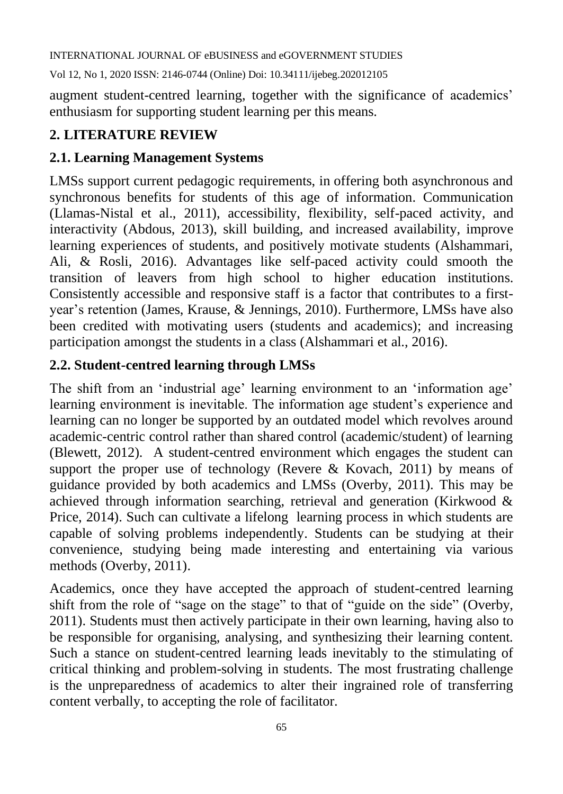Vol 12, No 1, 2020 ISSN: 2146-0744 (Online) Doi: 10.34111/ijebeg.202012105

augment student-centred learning, together with the significance of academics' enthusiasm for supporting student learning per this means.

# **2. LITERATURE REVIEW**

## **2.1. Learning Management Systems**

LMSs support current pedagogic requirements, in offering both asynchronous and synchronous benefits for students of this age of information. Communication (Llamas-Nistal et al., 2011), accessibility, flexibility, self-paced activity, and interactivity (Abdous, 2013), skill building, and increased availability, improve learning experiences of students, and positively motivate students (Alshammari, Ali, & Rosli, 2016). Advantages like self-paced activity could smooth the transition of leavers from high school to higher education institutions. Consistently accessible and responsive staff is a factor that contributes to a firstyear's retention (James, Krause, & Jennings, 2010). Furthermore, LMSs have also been credited with motivating users (students and academics); and increasing participation amongst the students in a class (Alshammari et al., 2016).

## **2.2. Student-centred learning through LMSs**

The shift from an 'industrial age' learning environment to an 'information age' learning environment is inevitable. The information age student's experience and learning can no longer be supported by an outdated model which revolves around academic-centric control rather than shared control (academic/student) of learning (Blewett, 2012). A student-centred environment which engages the student can support the proper use of technology (Revere  $\&$  Kovach, 2011) by means of guidance provided by both academics and LMSs (Overby, 2011). This may be achieved through information searching, retrieval and generation (Kirkwood & Price, 2014). Such can cultivate a lifelong learning process in which students are capable of solving problems independently. Students can be studying at their convenience, studying being made interesting and entertaining via various methods (Overby, 2011).

Academics, once they have accepted the approach of student-centred learning shift from the role of "sage on the stage" to that of "guide on the side" (Overby, 2011). Students must then actively participate in their own learning, having also to be responsible for organising, analysing, and synthesizing their learning content. Such a stance on student-centred learning leads inevitably to the stimulating of critical thinking and problem-solving in students. The most frustrating challenge is the unpreparedness of academics to alter their ingrained role of transferring content verbally, to accepting the role of facilitator.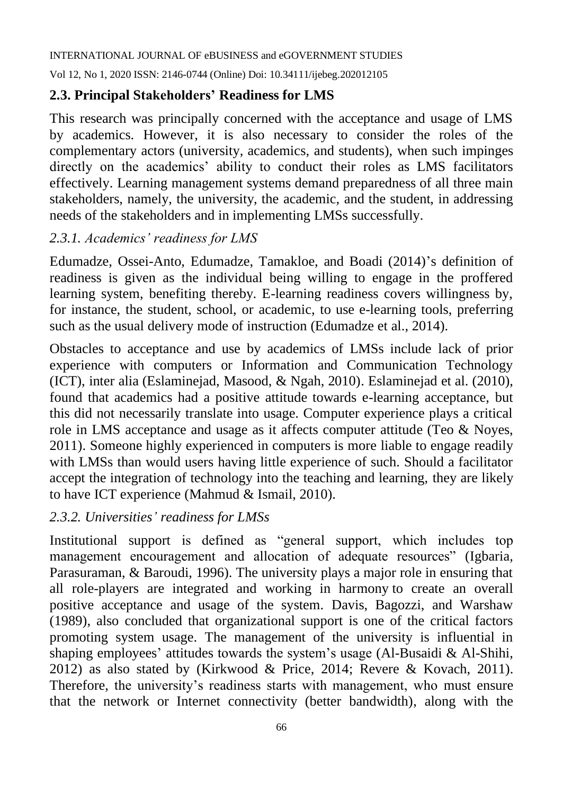Vol 12, No 1, 2020 ISSN: 2146-0744 (Online) Doi: 10.34111/ijebeg.202012105

#### **2.3. Principal Stakeholders' Readiness for LMS**

This research was principally concerned with the acceptance and usage of LMS by academics. However, it is also necessary to consider the roles of the complementary actors (university, academics, and students), when such impinges directly on the academics' ability to conduct their roles as LMS facilitators effectively. Learning management systems demand preparedness of all three main stakeholders, namely, the university, the academic, and the student, in addressing needs of the stakeholders and in implementing LMSs successfully.

#### *2.3.1. Academics' readiness for LMS*

Edumadze, Ossei-Anto, Edumadze, Tamakloe, and Boadi (2014)'s definition of readiness is given as the individual being willing to engage in the proffered learning system, benefiting thereby. E-learning readiness covers willingness by, for instance, the student, school, or academic, to use e-learning tools, preferring such as the usual delivery mode of instruction (Edumadze et al., 2014).

Obstacles to acceptance and use by academics of LMSs include lack of prior experience with computers or Information and Communication Technology (ICT), inter alia (Eslaminejad, Masood, & Ngah, 2010). Eslaminejad et al. (2010), found that academics had a positive attitude towards e-learning acceptance, but this did not necessarily translate into usage. Computer experience plays a critical role in LMS acceptance and usage as it affects computer attitude (Teo & Noyes, 2011). Someone highly experienced in computers is more liable to engage readily with LMSs than would users having little experience of such. Should a facilitator accept the integration of technology into the teaching and learning, they are likely to have ICT experience (Mahmud & Ismail, 2010).

#### *2.3.2. Universities' readiness for LMSs*

Institutional support is defined as "general support, which includes top management encouragement and allocation of adequate resources" (Igbaria, Parasuraman, & Baroudi, 1996). The university plays a major role in ensuring that all role-players are integrated and working in harmony to create an overall positive acceptance and usage of the system. Davis, Bagozzi, and Warshaw (1989), also concluded that organizational support is one of the critical factors promoting system usage. The management of the university is influential in shaping employees' attitudes towards the system's usage (Al-Busaidi & Al-Shihi, 2012) as also stated by (Kirkwood & Price, 2014; Revere & Kovach, 2011). Therefore, the university's readiness starts with management, who must ensure that the network or Internet connectivity (better bandwidth), along with the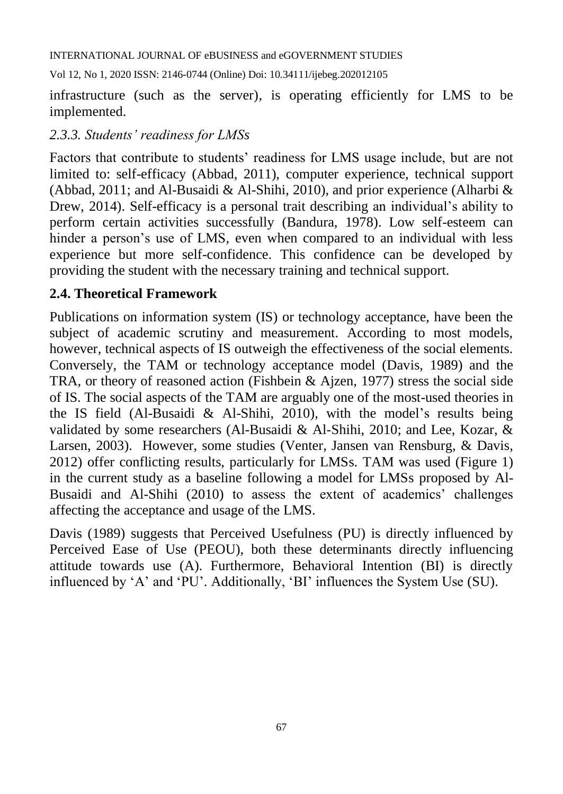Vol 12, No 1, 2020 ISSN: 2146-0744 (Online) Doi: 10.34111/ijebeg.202012105

infrastructure (such as the server), is operating efficiently for LMS to be implemented.

### *2.3.3. Students' readiness for LMSs*

Factors that contribute to students' readiness for LMS usage include, but are not limited to: self-efficacy (Abbad, 2011), computer experience, technical support (Abbad, 2011; and Al-Busaidi & Al-Shihi, 2010), and prior experience (Alharbi & Drew, 2014). Self-efficacy is a personal trait describing an individual's ability to perform certain activities successfully (Bandura, 1978). Low self-esteem can hinder a person's use of LMS, even when compared to an individual with less experience but more self-confidence. This confidence can be developed by providing the student with the necessary training and technical support.

### **2.4. Theoretical Framework**

Publications on information system (IS) or technology acceptance, have been the subject of academic scrutiny and measurement. According to most models, however, technical aspects of IS outweigh the effectiveness of the social elements. Conversely, the TAM or technology acceptance model (Davis, 1989) and the TRA, or theory of reasoned action (Fishbein & Ajzen, 1977) stress the social side of IS. The social aspects of the TAM are arguably one of the most-used theories in the IS field (Al-Busaidi & Al-Shihi, 2010), with the model's results being validated by some researchers (Al-Busaidi & Al-Shihi, 2010; and Lee, Kozar, & Larsen, 2003). However, some studies (Venter, Jansen van Rensburg, & Davis, 2012) offer conflicting results, particularly for LMSs. TAM was used (Figure 1) in the current study as a baseline following a model for LMSs proposed by Al-Busaidi and Al-Shihi (2010) to assess the extent of academics' challenges affecting the acceptance and usage of the LMS.

Davis (1989) suggests that Perceived Usefulness (PU) is directly influenced by Perceived Ease of Use (PEOU), both these determinants directly influencing attitude towards use (A). Furthermore, Behavioral Intention (BI) is directly influenced by 'A' and 'PU'. Additionally, 'BI' influences the System Use (SU).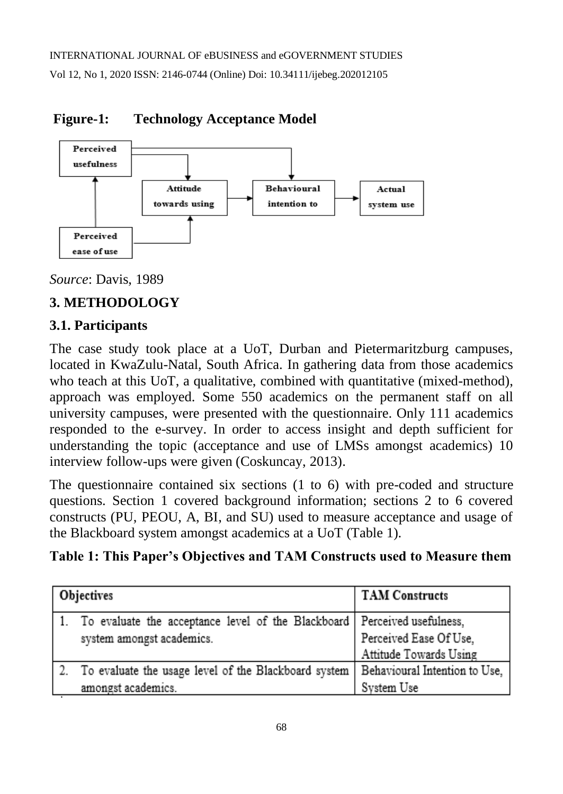

## **Figure-1: Technology Acceptance Model**

*Source*: Davis, 1989

# **3. METHODOLOGY**

## **3.1. Participants**

The case study took place at a UoT, Durban and Pietermaritzburg campuses, located in KwaZulu-Natal, South Africa. In gathering data from those academics who teach at this UoT, a qualitative, combined with quantitative (mixed-method), approach was employed. Some 550 academics on the permanent staff on all university campuses, were presented with the questionnaire. Only 111 academics responded to the e-survey. In order to access insight and depth sufficient for understanding the topic (acceptance and use of LMSs amongst academics) 10 interview follow-ups were given (Coskuncay, 2013).

The questionnaire contained six sections (1 to 6) with pre-coded and structure questions. Section 1 covered background information; sections 2 to 6 covered constructs (PU, PEOU, A, BI, and SU) used to measure acceptance and usage of the Blackboard system amongst academics at a UoT (Table 1).

## **Table 1: This Paper's Objectives and TAM Constructs used to Measure them**

| Objectives                                                                 | <b>TAM Constructs</b>         |
|----------------------------------------------------------------------------|-------------------------------|
| To evaluate the acceptance level of the Blackboard   Perceived usefulness, |                               |
| system amongst academics.                                                  | Perceived Ease Of Use,        |
|                                                                            | Attitude Towards Using        |
| To evaluate the usage level of the Blackboard system                       | Behavioural Intention to Use, |
| amongst academics.                                                         | System Use                    |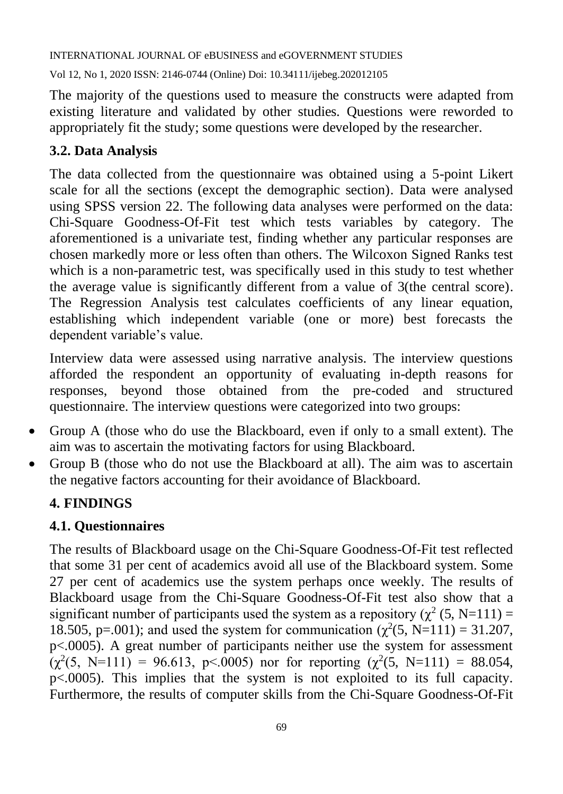Vol 12, No 1, 2020 ISSN: 2146-0744 (Online) Doi: 10.34111/ijebeg.202012105

The majority of the questions used to measure the constructs were adapted from existing literature and validated by other studies. Questions were reworded to appropriately fit the study; some questions were developed by the researcher.

## **3.2. Data Analysis**

The data collected from the questionnaire was obtained using a 5-point Likert scale for all the sections (except the demographic section). Data were analysed using SPSS version 22. The following data analyses were performed on the data: Chi-Square Goodness-Of-Fit test which tests variables by category. The aforementioned is a univariate test, finding whether any particular responses are chosen markedly more or less often than others. The Wilcoxon Signed Ranks test which is a non-parametric test, was specifically used in this study to test whether the average value is significantly different from a value of 3(the central score). The Regression Analysis test calculates coefficients of any linear equation, establishing which independent variable (one or more) best forecasts the dependent variable's value.

Interview data were assessed using narrative analysis. The interview questions afforded the respondent an opportunity of evaluating in-depth reasons for responses, beyond those obtained from the pre-coded and structured questionnaire. The interview questions were categorized into two groups:

- Group A (those who do use the Blackboard, even if only to a small extent). The aim was to ascertain the motivating factors for using Blackboard.
- Group B (those who do not use the Blackboard at all). The aim was to ascertain the negative factors accounting for their avoidance of Blackboard.

## **4. FINDINGS**

### **4.1. Questionnaires**

The results of Blackboard usage on the Chi-Square Goodness-Of-Fit test reflected that some 31 per cent of academics avoid all use of the Blackboard system. Some 27 per cent of academics use the system perhaps once weekly. The results of Blackboard usage from the Chi-Square Goodness-Of-Fit test also show that a significant number of participants used the system as a repository ( $\chi^2$  (5, N=111) = 18.505, p=.001); and used the system for communication ( $\chi^2$ (5, N=111) = 31.207, p<.0005). A great number of participants neither use the system for assessment  $(\chi^2(5, N=111) = 96.613, p<0.005)$  nor for reporting  $(\chi^2(5, N=111) = 88.054,$ p<.0005). This implies that the system is not exploited to its full capacity. Furthermore, the results of computer skills from the Chi-Square Goodness-Of-Fit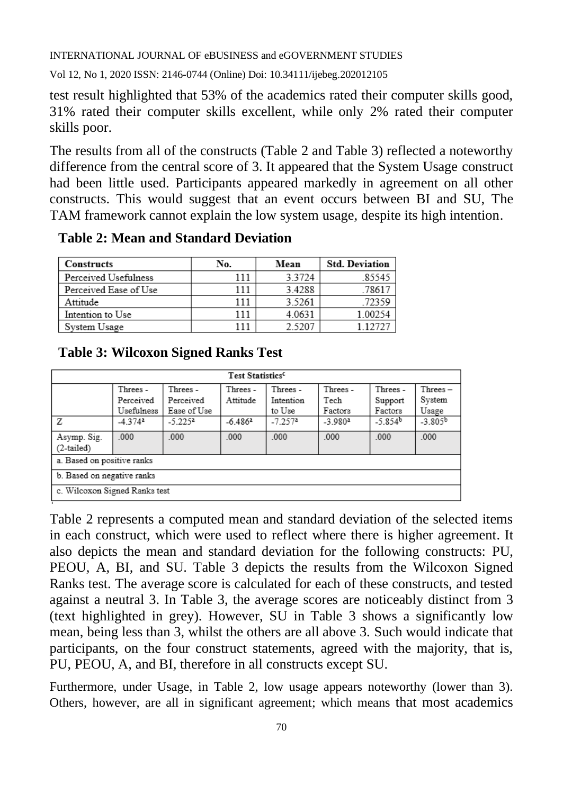Vol 12, No 1, 2020 ISSN: 2146-0744 (Online) Doi: 10.34111/ijebeg.202012105

test result highlighted that 53% of the academics rated their computer skills good, 31% rated their computer skills excellent, while only 2% rated their computer skills poor.

The results from all of the constructs (Table 2 and Table 3) reflected a noteworthy difference from the central score of 3. It appeared that the System Usage construct had been little used. Participants appeared markedly in agreement on all other constructs. This would suggest that an event occurs between BI and SU, The TAM framework cannot explain the low system usage, despite its high intention.

| <b>Constructs</b>     | No. | Mean   | <b>Std. Deviation</b> |
|-----------------------|-----|--------|-----------------------|
| Perceived Usefulness  | 111 | 3.3724 | 85545                 |
| Perceived Ease of Use | 111 | 3.4288 | .78617                |
| Attitude              | 111 | 3.5261 | 72359                 |
| Intention to Use      | 111 | 4.0631 | 1.00254               |
| System Usage          |     | 2.5207 | 1 1 2 7 2 1           |

 **Table 2: Mean and Standard Deviation** 

#### **Table 3: Wilcoxon Signed Ranks Test**

| Test Statistics <sup>c</sup>  |                       |             |           |                       |                       |           |              |
|-------------------------------|-----------------------|-------------|-----------|-----------------------|-----------------------|-----------|--------------|
|                               | Threes -              | Threes -    | Threes -  | Threes-               | Threes-               | Threes-   | Threes-      |
|                               | Perceived             | Perceived   | Attitude  | Intention             | Tech                  | Support   | System       |
|                               | Usefulness            | Ease of Use |           | to Use                | Factors               | Factors   | Usage        |
| Ζ                             | $-4.374$ <sup>a</sup> | $-5.225^a$  | $-6.486a$ | $-7.257$ <sup>a</sup> | $-3.980$ <sup>a</sup> | $-5.854b$ | $-3.805^{b}$ |
| Asymp. Sig.<br>$(2-tailed)$   | .000 <sub>1</sub>     | .000        | .000      | $000 -$               | .000                  | .000      | .000         |
| a. Based on positive ranks    |                       |             |           |                       |                       |           |              |
| b. Based on negative ranks    |                       |             |           |                       |                       |           |              |
| c. Wilcoxon Signed Ranks test |                       |             |           |                       |                       |           |              |

Table 2 represents a computed mean and standard deviation of the selected items in each construct, which were used to reflect where there is higher agreement. It also depicts the mean and standard deviation for the following constructs: PU, PEOU, A, BI, and SU. Table 3 depicts the results from the Wilcoxon Signed Ranks test. The average score is calculated for each of these constructs, and tested against a neutral 3. In Table 3, the average scores are noticeably distinct from 3 (text highlighted in grey). However, SU in Table 3 shows a significantly low mean, being less than 3, whilst the others are all above 3. Such would indicate that participants, on the four construct statements, agreed with the majority, that is, PU, PEOU, A, and BI, therefore in all constructs except SU.

Furthermore, under Usage, in Table 2, low usage appears noteworthy (lower than 3). Others, however, are all in significant agreement; which means that most academics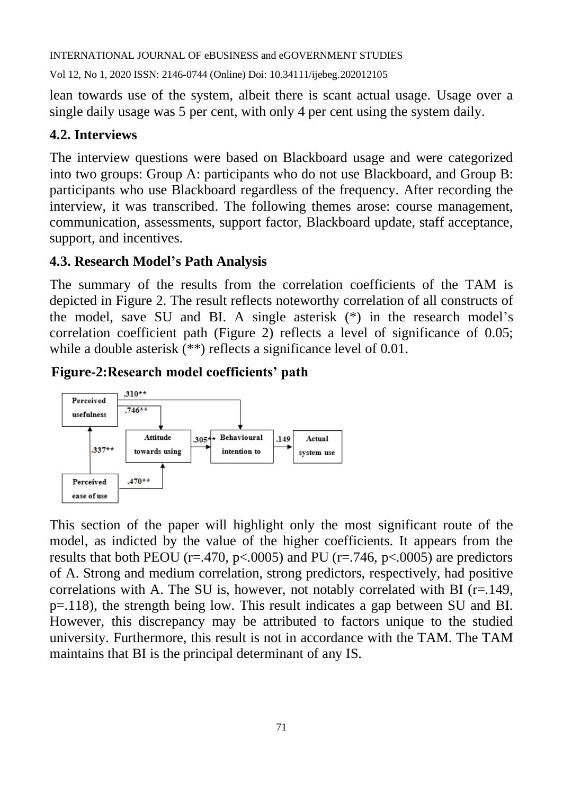Vol 12, No 1, 2020 ISSN: 2146-0744 (Online) Doi: 10.34111/ijebeg.202012105

lean towards use of the system, albeit there is scant actual usage. Usage over a single daily usage was 5 per cent, with only 4 per cent using the system daily.

#### **4.2. Interviews**

The interview questions were based on Blackboard usage and were categorized into two groups: Group A: participants who do not use Blackboard, and Group B: participants who use Blackboard regardless of the frequency. After recording the interview, it was transcribed. The following themes arose: course management, communication, assessments, support factor, Blackboard update, staff acceptance, support, and incentives.

#### **4.3. Research Model's Path Analysis**

The summary of the results from the correlation coefficients of the TAM is depicted in Figure 2. The result reflects noteworthy correlation of all constructs of the model, save SU and BI. A single asterisk (\*) in the research model's correlation coefficient path (Figure 2) reflects a level of significance of 0.05; while a double asterisk (\*\*) reflects a significance level of 0.01.

### **Figure-2:Research model coefficients' path**



This section of the paper will highlight only the most significant route of the model, as indicted by the value of the higher coefficients. It appears from the results that both PEOU (r=.470, p $\lt$ .0005) and PU (r=.746, p $\lt$ .0005) are predictors of A. Strong and medium correlation, strong predictors, respectively, had positive correlations with A. The SU is, however, not notably correlated with BI ( $r=149$ , p=.118), the strength being low. This result indicates a gap between SU and BI. However, this discrepancy may be attributed to factors unique to the studied university. Furthermore, this result is not in accordance with the TAM. The TAM maintains that BI is the principal determinant of any IS.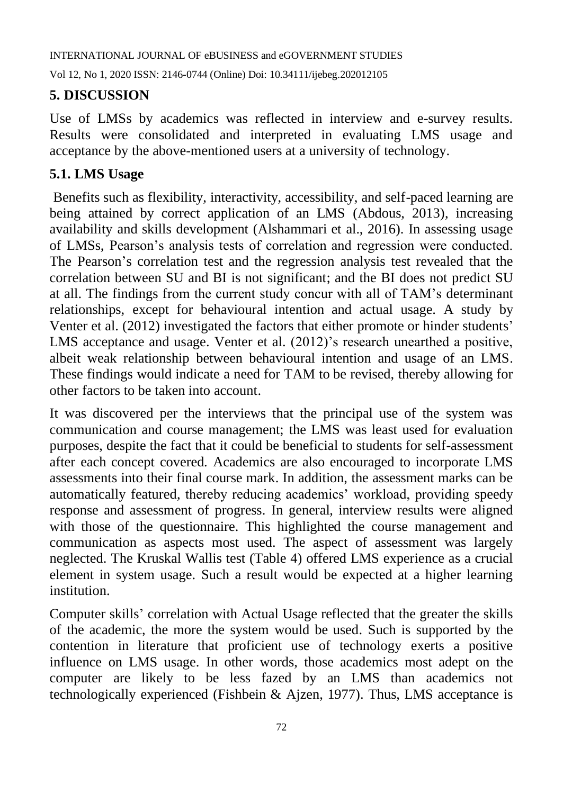Vol 12, No 1, 2020 ISSN: 2146-0744 (Online) Doi: 10.34111/ijebeg.202012105

## **5. DISCUSSION**

Use of LMSs by academics was reflected in interview and e-survey results. Results were consolidated and interpreted in evaluating LMS usage and acceptance by the above-mentioned users at a university of technology.

#### **5.1. LMS Usage**

Benefits such as flexibility, interactivity, accessibility, and self-paced learning are being attained by correct application of an LMS (Abdous, 2013), increasing availability and skills development (Alshammari et al., 2016). In assessing usage of LMSs, Pearson's analysis tests of correlation and regression were conducted. The Pearson's correlation test and the regression analysis test revealed that the correlation between SU and BI is not significant; and the BI does not predict SU at all. The findings from the current study concur with all of TAM's determinant relationships, except for behavioural intention and actual usage. A study by Venter et al. (2012) investigated the factors that either promote or hinder students' LMS acceptance and usage. Venter et al. (2012)'s research unearthed a positive, albeit weak relationship between behavioural intention and usage of an LMS. These findings would indicate a need for TAM to be revised, thereby allowing for other factors to be taken into account.

It was discovered per the interviews that the principal use of the system was communication and course management; the LMS was least used for evaluation purposes, despite the fact that it could be beneficial to students for self-assessment after each concept covered. Academics are also encouraged to incorporate LMS assessments into their final course mark. In addition, the assessment marks can be automatically featured, thereby reducing academics' workload, providing speedy response and assessment of progress. In general, interview results were aligned with those of the questionnaire. This highlighted the course management and communication as aspects most used. The aspect of assessment was largely neglected. The Kruskal Wallis test (Table 4) offered LMS experience as a crucial element in system usage. Such a result would be expected at a higher learning institution.

Computer skills' correlation with Actual Usage reflected that the greater the skills of the academic, the more the system would be used. Such is supported by the contention in literature that proficient use of technology exerts a positive influence on LMS usage. In other words, those academics most adept on the computer are likely to be less fazed by an LMS than academics not technologically experienced (Fishbein & Ajzen, 1977). Thus, LMS acceptance is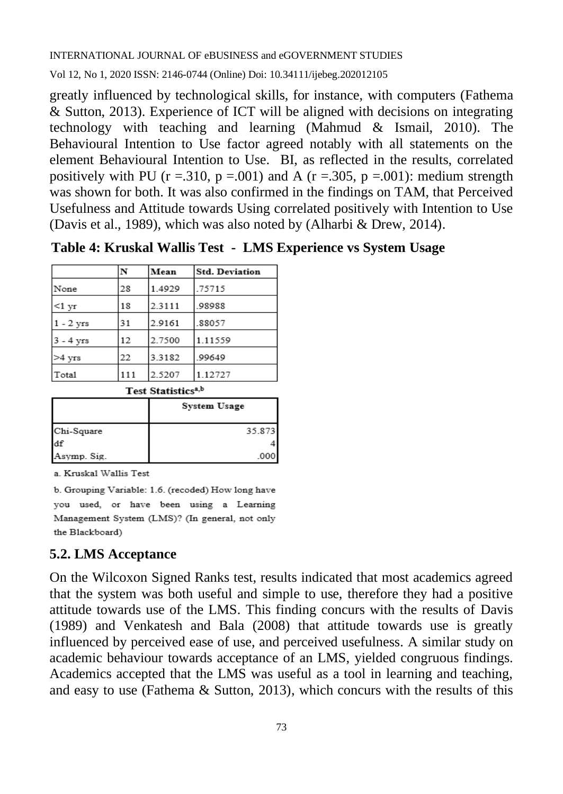Vol 12, No 1, 2020 ISSN: 2146-0744 (Online) Doi: 10.34111/ijebeg.202012105

greatly influenced by technological skills, for instance, with computers (Fathema & Sutton, 2013). Experience of ICT will be aligned with decisions on integrating technology with teaching and learning (Mahmud & Ismail, 2010). The Behavioural Intention to Use factor agreed notably with all statements on the element Behavioural Intention to Use. BI, as reflected in the results, correlated positively with PU ( $r = .310$ ,  $p = .001$ ) and A ( $r = .305$ ,  $p = .001$ ): medium strength was shown for both. It was also confirmed in the findings on TAM, that Perceived Usefulness and Attitude towards Using correlated positively with Intention to Use (Davis et al., 1989), which was also noted by (Alharbi & Drew, 2014).

 **Table 4: Kruskal Wallis Test - LMS Experience vs System Usage**

|             | N   | Mean   | <b>Std. Deviation</b> |
|-------------|-----|--------|-----------------------|
| None        | 28  | 1.4929 | .75715                |
| $<1$ yr     | 18  | 2.3111 | .98988                |
| $1 - 2$ yrs | 31  | 2.9161 | 88057                 |
| $3 - 4$ yrs | 12  | 2.7500 | 1.11559               |
| $>4$ yrs    | 22  | 3.3182 | .99649                |
| Total       | 111 | 2.5207 | 1.12727               |

Test Statistics<sup>a,b</sup>

|             | System Usage |
|-------------|--------------|
| Chi-Square  | 35.873       |
| df          |              |
| Asymp. Sig. | .000         |

a. Kruskal Wallis Test

b. Grouping Variable: 1.6. (recoded) How long have you used, or have been using a Learning Management System (LMS)? (In general, not only the Blackboard)

#### **5.2. LMS Acceptance**

On the Wilcoxon Signed Ranks test, results indicated that most academics agreed that the system was both useful and simple to use, therefore they had a positive attitude towards use of the LMS. This finding concurs with the results of Davis (1989) and Venkatesh and Bala (2008) that attitude towards use is greatly influenced by perceived ease of use, and perceived usefulness. A similar study on academic behaviour towards acceptance of an LMS, yielded congruous findings. Academics accepted that the LMS was useful as a tool in learning and teaching, and easy to use (Fathema & Sutton, 2013), which concurs with the results of this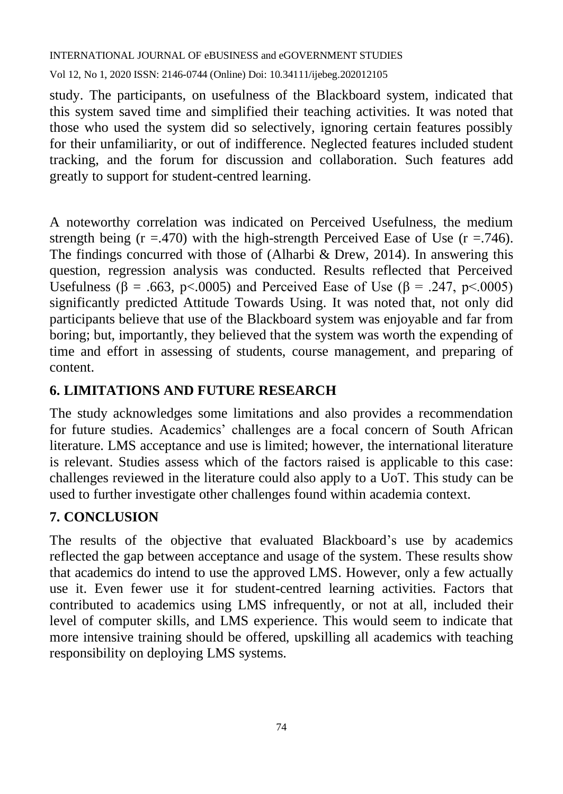Vol 12, No 1, 2020 ISSN: 2146-0744 (Online) Doi: 10.34111/ijebeg.202012105

study. The participants, on usefulness of the Blackboard system, indicated that this system saved time and simplified their teaching activities. It was noted that those who used the system did so selectively, ignoring certain features possibly for their unfamiliarity, or out of indifference. Neglected features included student tracking, and the forum for discussion and collaboration. Such features add greatly to support for student-centred learning.

A noteworthy correlation was indicated on Perceived Usefulness, the medium strength being  $(r = .470)$  with the high-strength Perceived Ease of Use  $(r = .746)$ . The findings concurred with those of (Alharbi & Drew, 2014). In answering this question, regression analysis was conducted. Results reflected that Perceived Usefulness ( $\beta$  = .663, p<.0005) and Perceived Ease of Use ( $\beta$  = .247, p<.0005) significantly predicted Attitude Towards Using. It was noted that, not only did participants believe that use of the Blackboard system was enjoyable and far from boring; but, importantly, they believed that the system was worth the expending of time and effort in assessing of students, course management, and preparing of content.

### **6. LIMITATIONS AND FUTURE RESEARCH**

The study acknowledges some limitations and also provides a recommendation for future studies. Academics' challenges are a focal concern of South African literature. LMS acceptance and use is limited; however, the international literature is relevant. Studies assess which of the factors raised is applicable to this case: challenges reviewed in the literature could also apply to a UoT. This study can be used to further investigate other challenges found within academia context.

### **7. CONCLUSION**

The results of the objective that evaluated Blackboard's use by academics reflected the gap between acceptance and usage of the system. These results show that academics do intend to use the approved LMS. However, only a few actually use it. Even fewer use it for student-centred learning activities. Factors that contributed to academics using LMS infrequently, or not at all, included their level of computer skills, and LMS experience. This would seem to indicate that more intensive training should be offered, upskilling all academics with teaching responsibility on deploying LMS systems.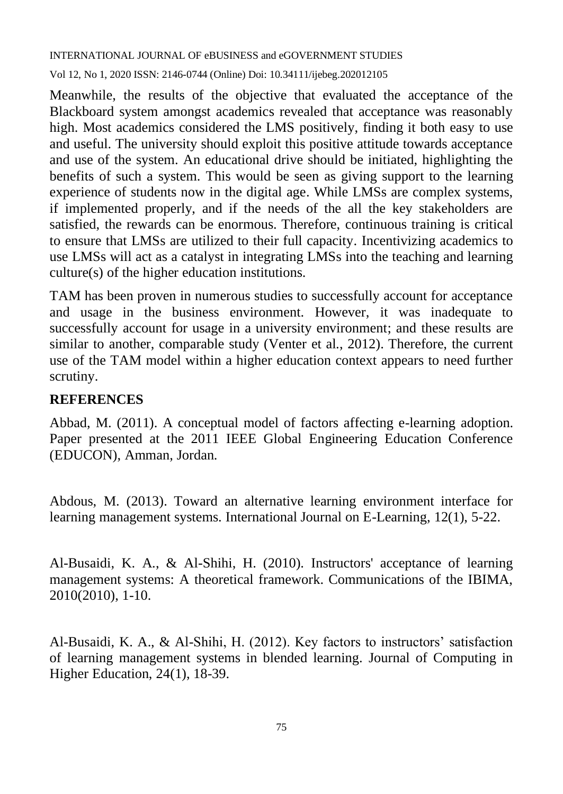Vol 12, No 1, 2020 ISSN: 2146-0744 (Online) Doi: 10.34111/ijebeg.202012105

Meanwhile, the results of the objective that evaluated the acceptance of the Blackboard system amongst academics revealed that acceptance was reasonably high. Most academics considered the LMS positively, finding it both easy to use and useful. The university should exploit this positive attitude towards acceptance and use of the system. An educational drive should be initiated, highlighting the benefits of such a system. This would be seen as giving support to the learning experience of students now in the digital age. While LMSs are complex systems, if implemented properly, and if the needs of the all the key stakeholders are satisfied, the rewards can be enormous. Therefore, continuous training is critical to ensure that LMSs are utilized to their full capacity. Incentivizing academics to use LMSs will act as a catalyst in integrating LMSs into the teaching and learning culture(s) of the higher education institutions.

TAM has been proven in numerous studies to successfully account for acceptance and usage in the business environment. However, it was inadequate to successfully account for usage in a university environment; and these results are similar to another, comparable study (Venter et al., 2012). Therefore, the current use of the TAM model within a higher education context appears to need further scrutiny.

#### **REFERENCES**

Abbad, M. (2011). A conceptual model of factors affecting e-learning adoption. Paper presented at the 2011 IEEE Global Engineering Education Conference (EDUCON), Amman, Jordan.

Abdous, M. (2013). Toward an alternative learning environment interface for learning management systems. International Journal on E-Learning, 12(1), 5-22.

Al-Busaidi, K. A., & Al-Shihi, H. (2010). Instructors' acceptance of learning management systems: A theoretical framework. Communications of the IBIMA, 2010(2010), 1-10.

Al-Busaidi, K. A., & Al-Shihi, H. (2012). Key factors to instructors' satisfaction of learning management systems in blended learning. Journal of Computing in Higher Education, 24(1), 18-39.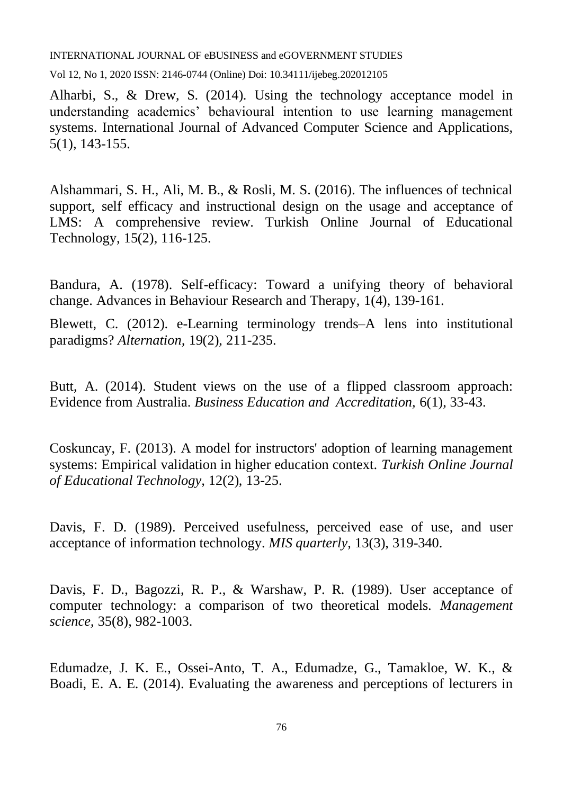Vol 12, No 1, 2020 ISSN: 2146-0744 (Online) Doi: 10.34111/ijebeg.202012105

Alharbi, S., & Drew, S. (2014). Using the technology acceptance model in understanding academics' behavioural intention to use learning management systems. International Journal of Advanced Computer Science and Applications, 5(1), 143-155.

Alshammari, S. H., Ali, M. B., & Rosli, M. S. (2016). The influences of technical support, self efficacy and instructional design on the usage and acceptance of LMS: A comprehensive review. Turkish Online Journal of Educational Technology, 15(2), 116-125.

Bandura, A. (1978). Self-efficacy: Toward a unifying theory of behavioral change. Advances in Behaviour Research and Therapy, 1(4), 139-161.

Blewett, C. (2012). e-Learning terminology trends–A lens into institutional paradigms? *Alternation,* 19(2), 211-235.

Butt, A. (2014). Student views on the use of a flipped classroom approach: Evidence from Australia. *Business Education and Accreditation,* 6(1), 33-43.

Coskuncay, F. (2013). A model for instructors' adoption of learning management systems: Empirical validation in higher education context. *Turkish Online Journal of Educational Technology,* 12(2), 13-25.

Davis, F. D. (1989). Perceived usefulness, perceived ease of use, and user acceptance of information technology. *MIS quarterly,* 13(3), 319-340.

Davis, F. D., Bagozzi, R. P., & Warshaw, P. R. (1989). User acceptance of computer technology: a comparison of two theoretical models. *Management science,* 35(8), 982-1003.

Edumadze, J. K. E., Ossei-Anto, T. A., Edumadze, G., Tamakloe, W. K., & Boadi, E. A. E. (2014). Evaluating the awareness and perceptions of lecturers in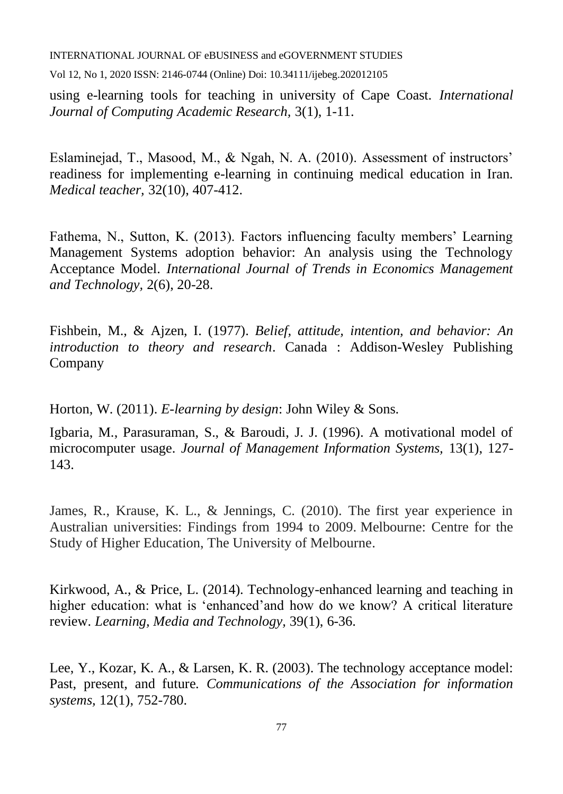Vol 12, No 1, 2020 ISSN: 2146-0744 (Online) Doi: 10.34111/ijebeg.202012105

using e-learning tools for teaching in university of Cape Coast. *International Journal of Computing Academic Research,* 3(1), 1-11.

Eslaminejad, T., Masood, M., & Ngah, N. A. (2010). Assessment of instructors' readiness for implementing e-learning in continuing medical education in Iran. *Medical teacher,* 32(10), 407-412.

Fathema, N., Sutton, K. (2013). Factors influencing faculty members' Learning Management Systems adoption behavior: An analysis using the Technology Acceptance Model. *International Journal of Trends in Economics Management and Technology,* 2(6), 20-28.

Fishbein, M., & Ajzen, I. (1977). *Belief, attitude, intention, and behavior: An introduction to theory and research*. Canada : Addison-Wesley Publishing Company

Horton, W. (2011). *E-learning by design*: John Wiley & Sons.

Igbaria, M., Parasuraman, S., & Baroudi, J. J. (1996). A motivational model of microcomputer usage. *Journal of Management Information Systems,* 13(1), 127- 143.

James, R., Krause, K. L., & Jennings, C. (2010). The first year experience in Australian universities: Findings from 1994 to 2009. Melbourne: Centre for the Study of Higher Education, The University of Melbourne.

Kirkwood, A., & Price, L. (2014). Technology-enhanced learning and teaching in higher education: what is 'enhanced'and how do we know? A critical literature review. *Learning, Media and Technology,* 39(1), 6-36.

Lee, Y., Kozar, K. A., & Larsen, K. R. (2003). The technology acceptance model: Past, present, and future. *Communications of the Association for information systems,* 12(1), 752-780.